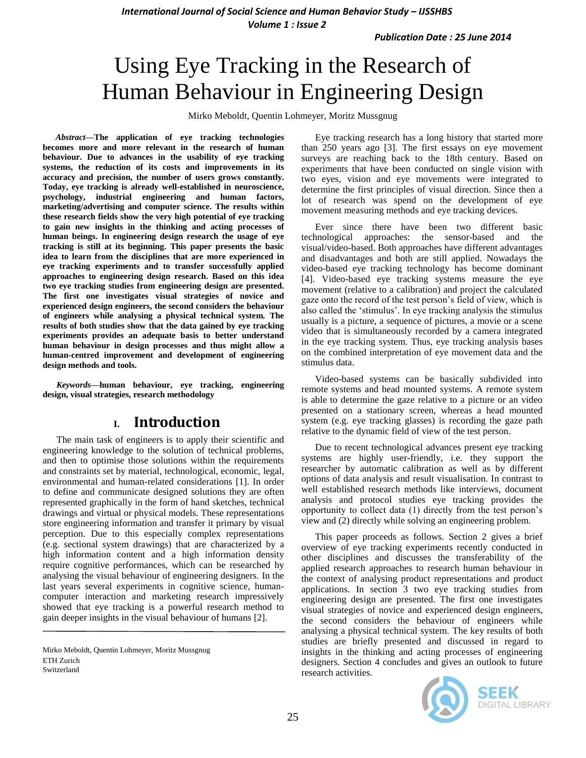*International Journal of Social Science and Human Behavior Study – IJSSHBS Volume 1 : Issue 2*

# Using Eye Tracking in the Research of Human Behaviour in Engineering Design

Mirko Meboldt, Quentin Lohmeyer, Moritz Mussgnug

*Abstract***—The application of eye tracking technologies becomes more and more relevant in the research of human behaviour. Due to advances in the usability of eye tracking systems, the reduction of its costs and improvements in its accuracy and precision, the number of users grows constantly. Today, eye tracking is already well-established in neuroscience, psychology, industrial engineering and human factors, marketing/advertising and computer science. The results within these research fields show the very high potential of eye tracking to gain new insights in the thinking and acting processes of human beings. In engineering design research the usage of eye tracking is still at its beginning. This paper presents the basic idea to learn from the disciplines that are more experienced in eye tracking experiments and to transfer successfully applied approaches to engineering design research. Based on this idea two eye tracking studies from engineering design are presented. The first one investigates visual strategies of novice and experienced design engineers, the second considers the behaviour of engineers while analysing a physical technical system. The results of both studies show that the data gained by eye tracking experiments provides an adequate basis to better understand human behaviour in design processes and thus might allow a human-centred improvement and development of engineering design methods and tools.**

*Keywords—***human behaviour, eye tracking, engineering design, visual strategies, research methodology**

### **I. Introduction**

The main task of engineers is to apply their scientific and engineering knowledge to the solution of technical problems, and then to optimise those solutions within the requirements and constraints set by material, technological, economic, legal, environmental and human-related considerations [1]. In order to define and communicate designed solutions they are often represented graphically in the form of hand sketches, technical drawings and virtual or physical models. These representations store engineering information and transfer it primary by visual perception. Due to this especially complex representations (e.g. sectional system drawings) that are characterized by a high information content and a high information density require cognitive performances, which can be researched by analysing the visual behaviour of engineering designers. In the last years several experiments in cognitive science, humancomputer interaction and marketing research impressively showed that eye tracking is a powerful research method to gain deeper insights in the visual behaviour of humans [2].

Mirko Meboldt, Quentin Lohmeyer, Moritz Mussgnug ETH Zurich Switzerland

Eye tracking research has a long history that started more than 250 years ago [3]. The first essays on eye movement surveys are reaching back to the 18th century. Based on experiments that have been conducted on single vision with two eyes, vision and eye movements were integrated to determine the first principles of visual direction. Since then a lot of research was spend on the development of eye movement measuring methods and eye tracking devices.

Ever since there have been two different basic technological approaches: the sensor-based and the visual/video-based. Both approaches have different advantages and disadvantages and both are still applied. Nowadays the video-based eye tracking technology has become dominant [4]. Video-based eye tracking systems measure the eye movement (relative to a calibration) and project the calculated gaze onto the record of the test person"s field of view, which is also called the "stimulus". In eye tracking analysis the stimulus usually is a picture, a sequence of pictures, a movie or a scene video that is simultaneously recorded by a camera integrated in the eye tracking system. Thus, eye tracking analysis bases on the combined interpretation of eye movement data and the stimulus data.

Video-based systems can be basically subdivided into remote systems and head mounted systems. A remote system is able to determine the gaze relative to a picture or an video presented on a stationary screen, whereas a head mounted system (e.g. eye tracking glasses) is recording the gaze path relative to the dynamic field of view of the test person.

Due to recent technological advances present eye tracking systems are highly user-friendly, i.e. they support the researcher by automatic calibration as well as by different options of data analysis and result visualisation. In contrast to well established research methods like interviews, document analysis and protocol studies eye tracking provides the opportunity to collect data (1) directly from the test person"s view and (2) directly while solving an engineering problem.

This paper proceeds as follows. Section 2 gives a brief overview of eye tracking experiments recently conducted in other disciplines and discusses the transferability of the applied research approaches to research human behaviour in the context of analysing product representations and product applications. In section 3 two eye tracking studies from engineering design are presented. The first one investigates visual strategies of novice and experienced design engineers, the second considers the behaviour of engineers while analysing a physical technical system. The key results of both studies are briefly presented and discussed in regard to insights in the thinking and acting processes of engineering designers. Section 4 concludes and gives an outlook to future research activities.

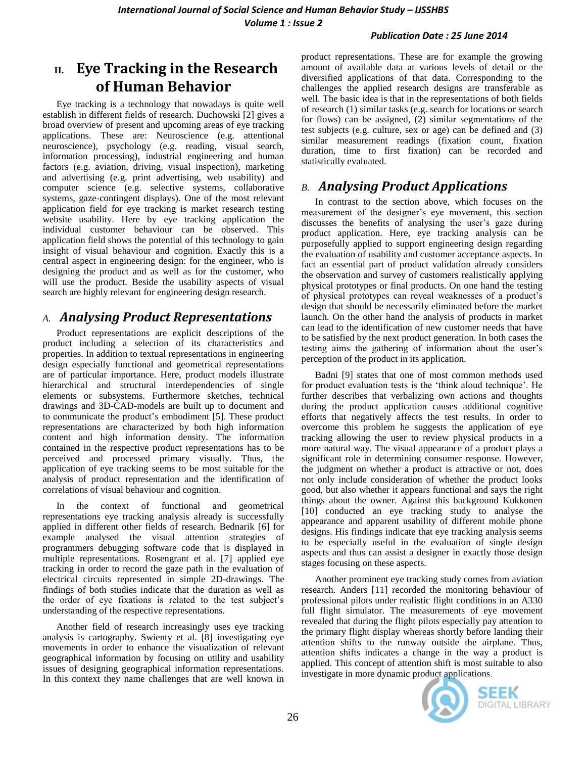#### *Publication Date : 25 June 2014*

# **II. Eye Tracking in the Research of Human Behavior**

Eye tracking is a technology that nowadays is quite well establish in different fields of research. Duchowski [2] gives a broad overview of present and upcoming areas of eye tracking applications. These are: Neuroscience (e.g. attentional neuroscience), psychology (e.g. reading, visual search, information processing), industrial engineering and human factors (e.g. aviation, driving, visual inspection), marketing and advertising (e.g. print advertising, web usability) and computer science (e.g. selective systems, collaborative systems, gaze-contingent displays). One of the most relevant application field for eye tracking is market research testing website usability. Here by eye tracking application the individual customer behaviour can be observed. This application field shows the potential of this technology to gain insight of visual behaviour and cognition. Exactly this is a central aspect in engineering design: for the engineer, who is designing the product and as well as for the customer, who will use the product. Beside the usability aspects of visual search are highly relevant for engineering design research.

## *A. Analysing Product Representations*

Product representations are explicit descriptions of the product including a selection of its characteristics and properties. In addition to textual representations in engineering design especially functional and geometrical representations are of particular importance. Here, product models illustrate hierarchical and structural interdependencies of single elements or subsystems. Furthermore sketches, technical drawings and 3D-CAD-models are built up to document and to communicate the product"s embodiment [5]. These product representations are characterized by both high information content and high information density. The information contained in the respective product representations has to be perceived and processed primary visually. Thus, the application of eye tracking seems to be most suitable for the analysis of product representation and the identification of correlations of visual behaviour and cognition.

In the context of functional and geometrical representations eye tracking analysis already is successfully applied in different other fields of research. Bednarik [6] for example analysed the visual attention strategies of programmers debugging software code that is displayed in multiple representations. Rosengrant et al. [7] applied eye tracking in order to record the gaze path in the evaluation of electrical circuits represented in simple 2D-drawings. The findings of both studies indicate that the duration as well as the order of eye fixations is related to the test subject"s understanding of the respective representations.

Another field of research increasingly uses eye tracking analysis is cartography. Swienty et al. [8] investigating eye movements in order to enhance the visualization of relevant geographical information by focusing on utility and usability issues of designing geographical information representations. In this context they name challenges that are well known in

product representations. These are for example the growing amount of available data at various levels of detail or the diversified applications of that data. Corresponding to the challenges the applied research designs are transferable as well. The basic idea is that in the representations of both fields of research (1) similar tasks (e.g. search for locations or search for flows) can be assigned, (2) similar segmentations of the test subjects (e.g. culture, sex or age) can be defined and (3) similar measurement readings (fixation count, fixation duration, time to first fixation) can be recorded and statistically evaluated.

# *B. Analysing Product Applications*

In contrast to the section above, which focuses on the measurement of the designer"s eye movement, this section discusses the benefits of analysing the user's gaze during product application. Here, eye tracking analysis can be purposefully applied to support engineering design regarding the evaluation of usability and customer acceptance aspects. In fact an essential part of product validation already considers the observation and survey of customers realistically applying physical prototypes or final products. On one hand the testing of physical prototypes can reveal weaknesses of a product"s design that should be necessarily eliminated before the market launch. On the other hand the analysis of products in market can lead to the identification of new customer needs that have to be satisfied by the next product generation. In both cases the testing aims the gathering of information about the user"s perception of the product in its application.

Badni [9] states that one of most common methods used for product evaluation tests is the "think aloud technique". He further describes that verbalizing own actions and thoughts during the product application causes additional cognitive efforts that negatively affects the test results. In order to overcome this problem he suggests the application of eye tracking allowing the user to review physical products in a more natural way. The visual appearance of a product plays a significant role in determining consumer response. However, the judgment on whether a product is attractive or not, does not only include consideration of whether the product looks good, but also whether it appears functional and says the right things about the owner. Against this background Kukkonen [10] conducted an eye tracking study to analyse the appearance and apparent usability of different mobile phone designs. His findings indicate that eye tracking analysis seems to be especially useful in the evaluation of single design aspects and thus can assist a designer in exactly those design stages focusing on these aspects.

Another prominent eye tracking study comes from aviation research. Anders [11] recorded the monitoring behaviour of professional pilots under realistic flight conditions in an A330 full flight simulator. The measurements of eye movement revealed that during the flight pilots especially pay attention to the primary flight display whereas shortly before landing their attention shifts to the runway outside the airplane. Thus, attention shifts indicates a change in the way a product is applied. This concept of attention shift is most suitable to also investigate in more dynamic product applications.

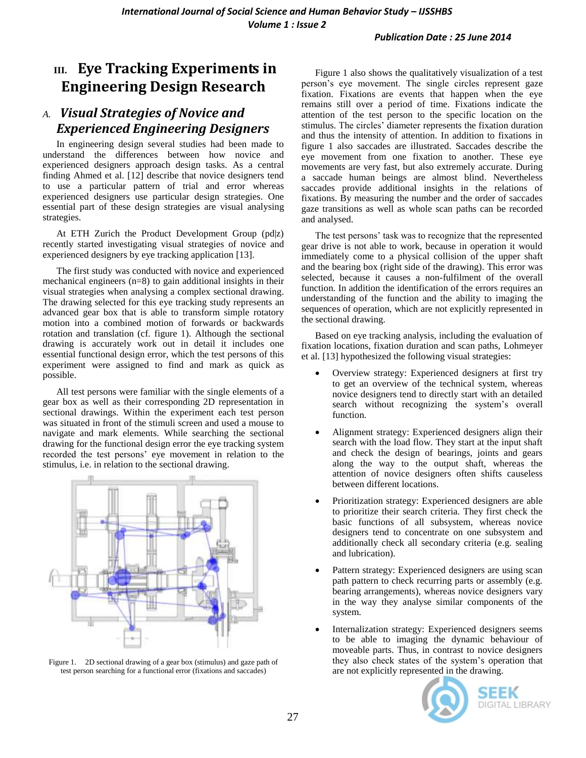### *Publication Date : 25 June 2014*

# **III. Eye Tracking Experiments in Engineering Design Research**

## *A. Visual Strategies of Novice and Experienced Engineering Designers*

In engineering design several studies had been made to understand the differences between how novice and experienced designers approach design tasks. As a central finding Ahmed et al. [12] describe that novice designers tend to use a particular pattern of trial and error whereas experienced designers use particular design strategies. One essential part of these design strategies are visual analysing strategies.

At ETH Zurich the Product Development Group (pd|z) recently started investigating visual strategies of novice and experienced designers by eye tracking application [13].

The first study was conducted with novice and experienced mechanical engineers (n=8) to gain additional insights in their visual strategies when analysing a complex sectional drawing. The drawing selected for this eye tracking study represents an advanced gear box that is able to transform simple rotatory motion into a combined motion of forwards or backwards rotation and translation (cf. figure 1). Although the sectional drawing is accurately work out in detail it includes one essential functional design error, which the test persons of this experiment were assigned to find and mark as quick as possible.

All test persons were familiar with the single elements of a gear box as well as their corresponding 2D representation in sectional drawings. Within the experiment each test person was situated in front of the stimuli screen and used a mouse to navigate and mark elements. While searching the sectional drawing for the functional design error the eye tracking system recorded the test persons" eye movement in relation to the stimulus, i.e. in relation to the sectional drawing.



Figure 1. 2D sectional drawing of a gear box (stimulus) and gaze path of test person searching for a functional error (fixations and saccades)

Figure 1 also shows the qualitatively visualization of a test person"s eye movement. The single circles represent gaze fixation. Fixations are events that happen when the eye remains still over a period of time. Fixations indicate the attention of the test person to the specific location on the stimulus. The circles" diameter represents the fixation duration and thus the intensity of attention. In addition to fixations in figure 1 also saccades are illustrated. Saccades describe the eye movement from one fixation to another. These eye movements are very fast, but also extremely accurate. During a saccade human beings are almost blind. Nevertheless saccades provide additional insights in the relations of fixations. By measuring the number and the order of saccades gaze transitions as well as whole scan paths can be recorded and analysed.

The test persons' task was to recognize that the represented gear drive is not able to work, because in operation it would immediately come to a physical collision of the upper shaft and the bearing box (right side of the drawing). This error was selected, because it causes a non-fulfilment of the overall function. In addition the identification of the errors requires an understanding of the function and the ability to imaging the sequences of operation, which are not explicitly represented in the sectional drawing.

Based on eye tracking analysis, including the evaluation of fixation locations, fixation duration and scan paths, Lohmeyer et al. [13] hypothesized the following visual strategies:

- Overview strategy: Experienced designers at first try to get an overview of the technical system, whereas novice designers tend to directly start with an detailed search without recognizing the system"s overall function.
- Alignment strategy: Experienced designers align their search with the load flow. They start at the input shaft and check the design of bearings, joints and gears along the way to the output shaft, whereas the attention of novice designers often shifts causeless between different locations.
- Prioritization strategy: Experienced designers are able to prioritize their search criteria. They first check the basic functions of all subsystem, whereas novice designers tend to concentrate on one subsystem and additionally check all secondary criteria (e.g. sealing and lubrication).
- Pattern strategy: Experienced designers are using scan path pattern to check recurring parts or assembly (e.g. bearing arrangements), whereas novice designers vary in the way they analyse similar components of the system.
- Internalization strategy: Experienced designers seems to be able to imaging the dynamic behaviour of moveable parts. Thus, in contrast to novice designers they also check states of the system"s operation that are not explicitly represented in the drawing.

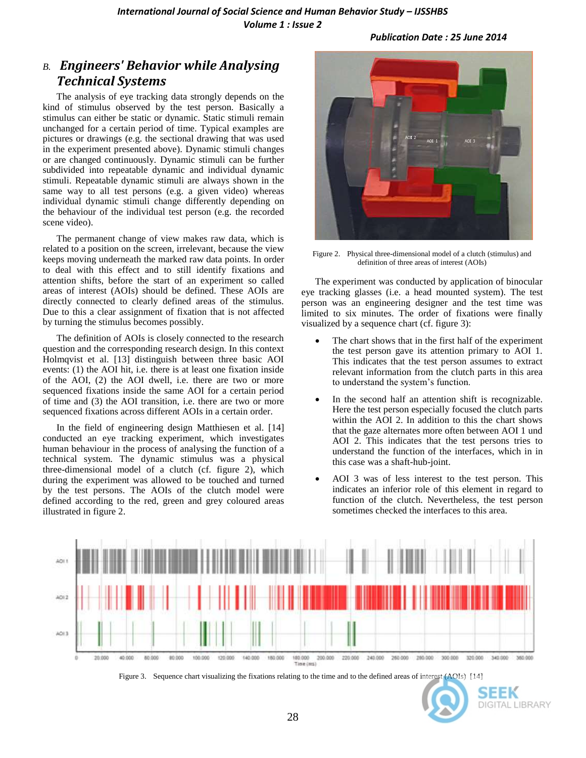*International Journal of Social Science and Human Behavior Study – IJSSHBS Volume 1 : Issue 2*

*Publication Date : 25 June 2014*

## *B. Engineers' Behavior while Analysing Technical Systems*

The analysis of eye tracking data strongly depends on the kind of stimulus observed by the test person. Basically a stimulus can either be static or dynamic. Static stimuli remain unchanged for a certain period of time. Typical examples are pictures or drawings (e.g. the sectional drawing that was used in the experiment presented above). Dynamic stimuli changes or are changed continuously. Dynamic stimuli can be further subdivided into repeatable dynamic and individual dynamic stimuli. Repeatable dynamic stimuli are always shown in the same way to all test persons (e.g. a given video) whereas individual dynamic stimuli change differently depending on the behaviour of the individual test person (e.g. the recorded scene video).

The permanent change of view makes raw data, which is related to a position on the screen, irrelevant, because the view keeps moving underneath the marked raw data points. In order to deal with this effect and to still identify fixations and attention shifts, before the start of an experiment so called areas of interest (AOIs) should be defined. These AOIs are directly connected to clearly defined areas of the stimulus. Due to this a clear assignment of fixation that is not affected by turning the stimulus becomes possibly.

The definition of AOIs is closely connected to the research question and the corresponding research design. In this context Holmqvist et al. [13] distinguish between three basic AOI events: (1) the AOI hit, i.e. there is at least one fixation inside of the AOI, (2) the AOI dwell, i.e. there are two or more sequenced fixations inside the same AOI for a certain period of time and (3) the AOI transition, i.e. there are two or more sequenced fixations across different AOIs in a certain order.

In the field of engineering design Matthiesen et al. [14] conducted an eye tracking experiment, which investigates human behaviour in the process of analysing the function of a technical system. The dynamic stimulus was a physical three-dimensional model of a clutch (cf. figure 2), which during the experiment was allowed to be touched and turned by the test persons. The AOIs of the clutch model were defined according to the red, green and grey coloured areas illustrated in figure 2.



Figure 2. Physical three-dimensional model of a clutch (stimulus) and definition of three areas of interest (AOIs)

The experiment was conducted by application of binocular eye tracking glasses (i.e. a head mounted system). The test person was an engineering designer and the test time was limited to six minutes. The order of fixations were finally visualized by a sequence chart (cf. figure 3):

- The chart shows that in the first half of the experiment the test person gave its attention primary to AOI 1. This indicates that the test person assumes to extract relevant information from the clutch parts in this area to understand the system"s function.
- In the second half an attention shift is recognizable. Here the test person especially focused the clutch parts within the AOI 2. In addition to this the chart shows that the gaze alternates more often between AOI 1 und AOI 2. This indicates that the test persons tries to understand the function of the interfaces, which in in this case was a shaft-hub-joint.
- AOI 3 was of less interest to the test person. This indicates an inferior role of this element in regard to function of the clutch. Nevertheless, the test person sometimes checked the interfaces to this area.



Figure 3. Sequence chart visualizing the fixations relating to the time and to the defined areas of interest